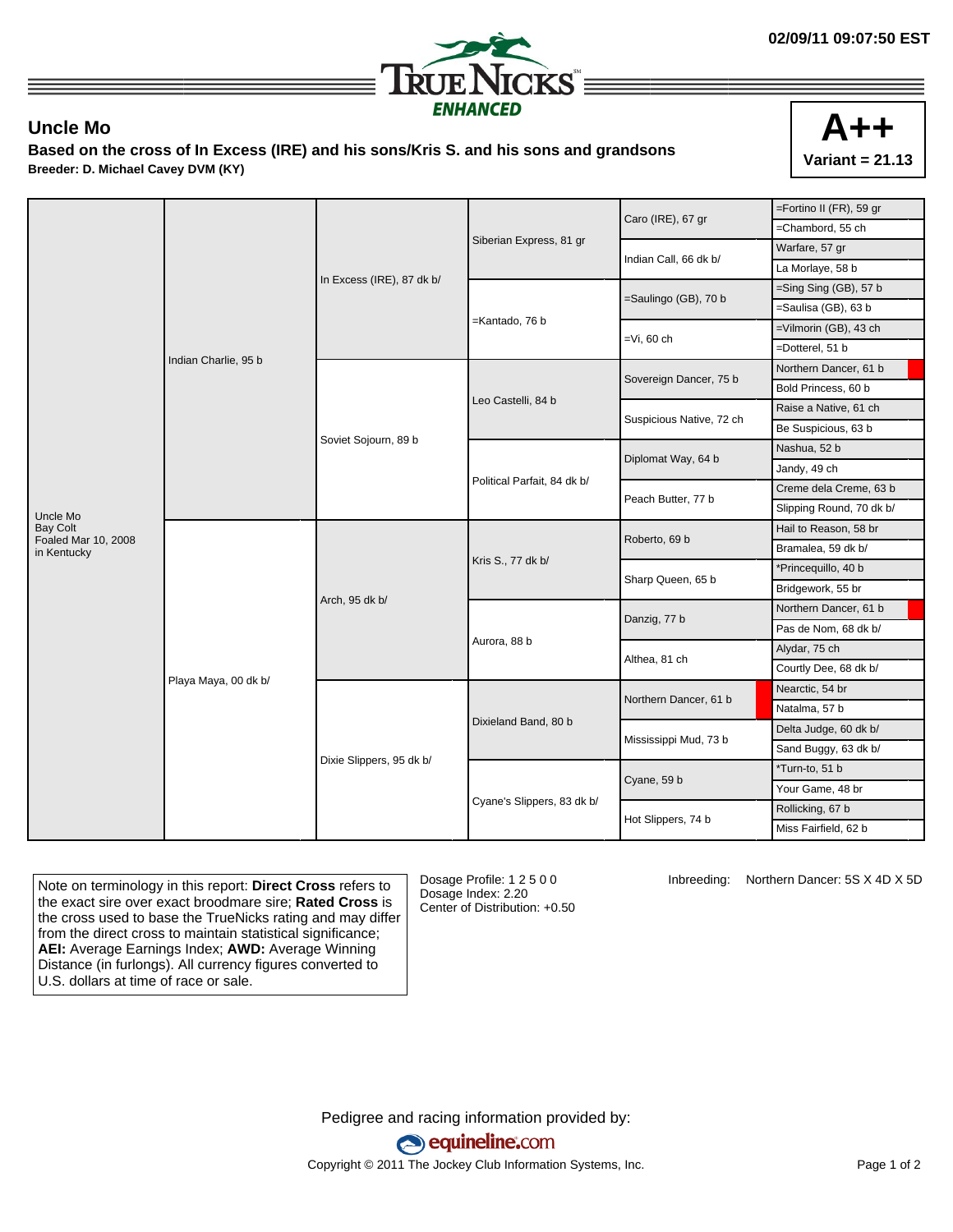

## **Uncle Mo**

**Based on the cross of In Excess (IRE) and his sons/Kris S. and his sons and grandsons Breeder: D. Michael Cavey DVM (KY)**



|                                    |                      |                           |                             | Caro (IRE), 67 gr        | =Fortino II (FR), 59 gr  |
|------------------------------------|----------------------|---------------------------|-----------------------------|--------------------------|--------------------------|
|                                    | Indian Charlie, 95 b | In Excess (IRE), 87 dk b/ |                             |                          | =Chambord, 55 ch         |
|                                    |                      |                           | Siberian Express, 81 gr     | Indian Call, 66 dk b/    | Warfare, 57 gr           |
|                                    |                      |                           |                             |                          | La Morlaye, 58 b         |
|                                    |                      |                           |                             | =Saulingo (GB), 70 b     | $=$ Sing Sing (GB), 57 b |
|                                    |                      |                           |                             |                          | =Saulisa (GB), 63 b      |
|                                    |                      |                           | =Kantado, 76 b              | $=Vi$ , 60 ch            | =Vilmorin (GB), 43 ch    |
|                                    |                      |                           |                             |                          | =Dotterel, 51 b          |
|                                    |                      | Soviet Sojourn, 89 b      | Leo Castelli, 84 b          | Sovereign Dancer, 75 b   | Northern Dancer, 61 b    |
|                                    |                      |                           |                             |                          | Bold Princess, 60 b      |
|                                    |                      |                           |                             | Suspicious Native, 72 ch | Raise a Native, 61 ch    |
|                                    |                      |                           |                             |                          | Be Suspicious, 63 b      |
|                                    |                      |                           | Political Parfait, 84 dk b/ | Diplomat Way, 64 b       | Nashua, 52 b             |
|                                    |                      |                           |                             |                          | Jandy, 49 ch             |
|                                    |                      |                           |                             | Peach Butter, 77 b       | Creme dela Creme, 63 b   |
| Uncle Mo                           |                      |                           |                             |                          | Slipping Round, 70 dk b/ |
| <b>Bay Colt</b>                    | Playa Maya, 00 dk b/ | Arch, 95 dk b/            | Kris S., 77 dk b/           | Roberto, 69 b            | Hail to Reason, 58 br    |
| Foaled Mar 10, 2008<br>in Kentucky |                      |                           |                             |                          | Bramalea, 59 dk b/       |
|                                    |                      |                           |                             | Sharp Queen, 65 b        | *Princequillo, 40 b      |
|                                    |                      |                           |                             |                          | Bridgework, 55 br        |
|                                    |                      |                           | Aurora, 88 b                | Danzig, 77 b             | Northern Dancer, 61 b    |
|                                    |                      |                           |                             |                          | Pas de Nom, 68 dk b/     |
|                                    |                      |                           |                             | Althea, 81 ch            | Alydar, 75 ch            |
|                                    |                      |                           |                             |                          | Courtly Dee, 68 dk b/    |
|                                    |                      | Dixie Slippers, 95 dk b/  | Dixieland Band, 80 b        | Northern Dancer, 61 b    | Nearctic, 54 br          |
|                                    |                      |                           |                             |                          | Natalma, 57 b            |
|                                    |                      |                           |                             | Mississippi Mud, 73 b    | Delta Judge, 60 dk b/    |
|                                    |                      |                           |                             |                          | Sand Buggy, 63 dk b/     |
|                                    |                      |                           | Cyane's Slippers, 83 dk b/  |                          | *Turn-to, 51 b           |
|                                    |                      |                           |                             | Cyane, 59 b              | Your Game, 48 br         |
|                                    |                      |                           |                             | Hot Slippers, 74 b       | Rollicking, 67 b         |
|                                    |                      |                           |                             |                          | Miss Fairfield, 62 b     |
|                                    |                      |                           |                             |                          |                          |

Note on terminology in this report: **Direct Cross** refers to the exact sire over exact broodmare sire; **Rated Cross** is the cross used to base the TrueNicks rating and may differ from the direct cross to maintain statistical significance; **AEI:** Average Earnings Index; **AWD:** Average Winning Distance (in furlongs). All currency figures converted to U.S. dollars at time of race or sale.

Dosage Profile: 1 2 5 0 0 Dosage Index: 2.20 Center of Distribution: +0.50 Inbreeding: Northern Dancer: 5S X 4D X 5D

Pedigree and racing information provided by: equineline.com Copyright © 2011 The Jockey Club Information Systems, Inc. example 2012 Page 1 of 2